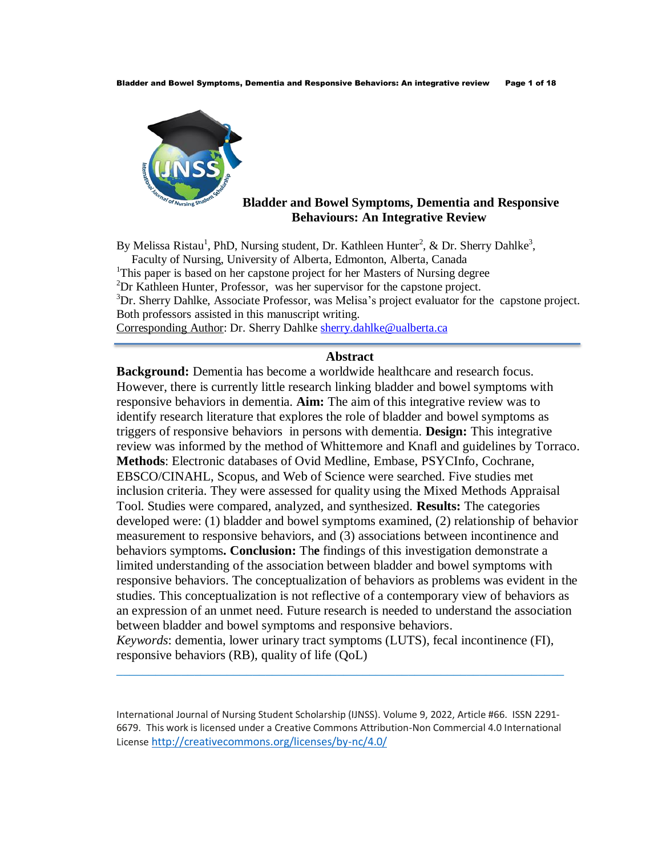

# **Bladder and Bowel Symptoms, Dementia and Responsive Behaviours: An Integrative Review**

By Melissa Ristau<sup>1</sup>, PhD, Nursing student, Dr. Kathleen Hunter<sup>2</sup>, & Dr. Sherry Dahlke<sup>3</sup>,

Faculty of Nursing, University of Alberta, Edmonton, Alberta, Canada

<sup>1</sup>This paper is based on her capstone project for her Masters of Nursing degree

<sup>2</sup>Dr Kathleen Hunter, Professor, was her supervisor for the capstone project.

 ${}^{3}$ Dr. Sherry Dahlke, Associate Professor, was Melisa's project evaluator for the capstone project. Both professors assisted in this manuscript writing.

Corresponding Author: Dr. Sherry Dahlke [sherry.dahlke@ualberta.ca](mailto:sherry.dahlke@ualberta.ca)

## **Abstract**

**Background:** Dementia has become a worldwide healthcare and research focus. However, there is currently little research linking bladder and bowel symptoms with responsive behaviors in dementia. **Aim:** The aim of this integrative review was to identify research literature that explores the role of bladder and bowel symptoms as triggers of responsive behaviors in persons with dementia. **Design:** This integrative review was informed by the method of Whittemore and Knafl and guidelines by Torraco. **Methods**: Electronic databases of Ovid Medline, Embase, PSYCInfo, Cochrane, EBSCO/CINAHL, Scopus, and Web of Science were searched. Five studies met inclusion criteria. They were assessed for quality using the Mixed Methods Appraisal Tool. Studies were compared, analyzed, and synthesized. **Results:** The categories developed were: (1) bladder and bowel symptoms examined, (2) relationship of behavior measurement to responsive behaviors, and (3) associations between incontinence and behaviors symptoms**. Conclusion:** Th**e** findings of this investigation demonstrate a limited understanding of the association between bladder and bowel symptoms with responsive behaviors. The conceptualization of behaviors as problems was evident in the studies. This conceptualization is not reflective of a contemporary view of behaviors as an expression of an unmet need. Future research is needed to understand the association between bladder and bowel symptoms and responsive behaviors. *Keywords*: dementia, lower urinary tract symptoms (LUTS), fecal incontinence (FI),

responsive behaviors (RB), quality of life (QoL)

\_\_\_\_\_\_\_\_\_\_\_\_\_\_\_\_\_\_\_\_\_\_\_\_\_\_\_\_\_\_\_\_\_\_\_\_\_\_\_\_\_\_\_\_\_\_\_\_\_\_\_\_\_\_\_\_\_\_\_\_\_\_\_\_\_\_\_\_\_

International Journal of Nursing Student Scholarship (IJNSS). Volume 9, 2022, Article #66. ISSN 2291- 6679. This work is licensed under a Creative Commons Attribution-Non Commercial 4.0 International License [http://creativecommons.org/licenses/by-nc/4.0/](https://urldefense.proofpoint.com/v2/url?u=http-3A__creativecommons.org_licenses_by-2Dnc_4.0_&d=DwMFAg&c=C3yme8gMkxg_ihJNXS06ZyWk4EJm8LdrrvxQb-Je7sw&r=8b6GROYZXbFqdnpbAq4emg&m=oGpEEVr1F9YarocTQoJseiZkIfC-A0sLDiSZX_VZBfc&s=grAi3qopNfvXMgosttjjJJ_3FK0L7FQD61t5XWmX4V4&e=)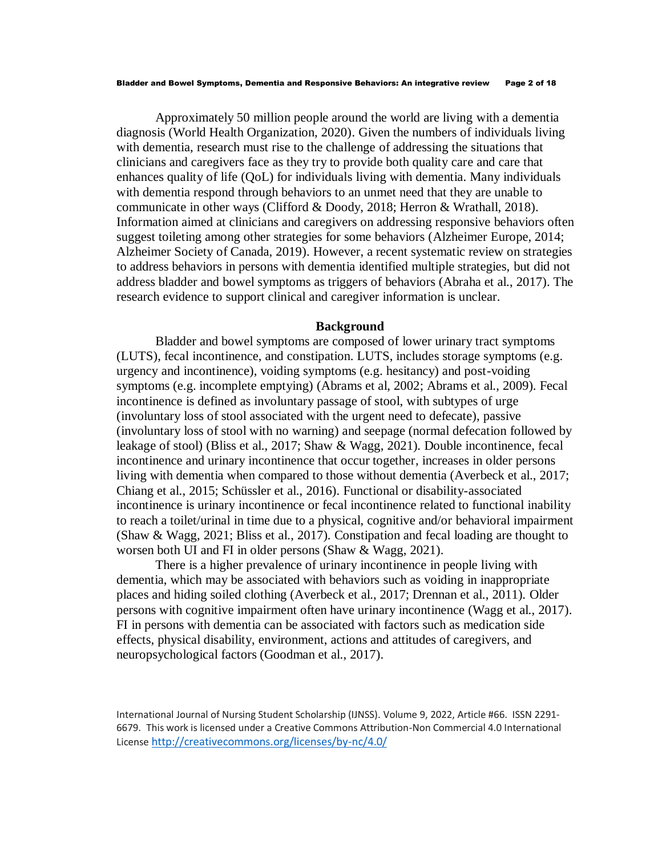Approximately 50 million people around the world are living with a dementia diagnosis (World Health Organization, 2020). Given the numbers of individuals living with dementia, research must rise to the challenge of addressing the situations that clinicians and caregivers face as they try to provide both quality care and care that enhances quality of life (QoL) for individuals living with dementia. Many individuals with dementia respond through behaviors to an unmet need that they are unable to communicate in other ways (Clifford & Doody, 2018; Herron & Wrathall, 2018). Information aimed at clinicians and caregivers on addressing responsive behaviors often suggest toileting among other strategies for some behaviors (Alzheimer Europe, 2014; Alzheimer Society of Canada, 2019). However, a recent systematic review on strategies to address behaviors in persons with dementia identified multiple strategies, but did not address bladder and bowel symptoms as triggers of behaviors (Abraha et al., 2017). The research evidence to support clinical and caregiver information is unclear.

#### **Background**

Bladder and bowel symptoms are composed of lower urinary tract symptoms (LUTS), fecal incontinence, and constipation. LUTS, includes storage symptoms (e.g. urgency and incontinence), voiding symptoms (e.g. hesitancy) and post-voiding symptoms (e.g. incomplete emptying) (Abrams et al, 2002; Abrams et al., 2009). Fecal incontinence is defined as involuntary passage of stool, with subtypes of urge (involuntary loss of stool associated with the urgent need to defecate), passive (involuntary loss of stool with no warning) and seepage (normal defecation followed by leakage of stool) (Bliss et al., 2017; Shaw & Wagg, 2021). Double incontinence, fecal incontinence and urinary incontinence that occur together, increases in older persons living with dementia when compared to those without dementia (Averbeck et al., 2017; Chiang et al., 2015; Schüssler et al., 2016). Functional or disability-associated incontinence is urinary incontinence or fecal incontinence related to functional inability to reach a toilet/urinal in time due to a physical, cognitive and/or behavioral impairment (Shaw & Wagg, 2021; Bliss et al., 2017). Constipation and fecal loading are thought to worsen both UI and FI in older persons (Shaw & Wagg, 2021).

There is a higher prevalence of urinary incontinence in people living with dementia, which may be associated with behaviors such as voiding in inappropriate places and hiding soiled clothing (Averbeck et al., 2017; Drennan et al., 2011). Older persons with cognitive impairment often have urinary incontinence (Wagg et al., 2017). FI in persons with dementia can be associated with factors such as medication side effects, physical disability, environment, actions and attitudes of caregivers, and neuropsychological factors (Goodman et al., 2017).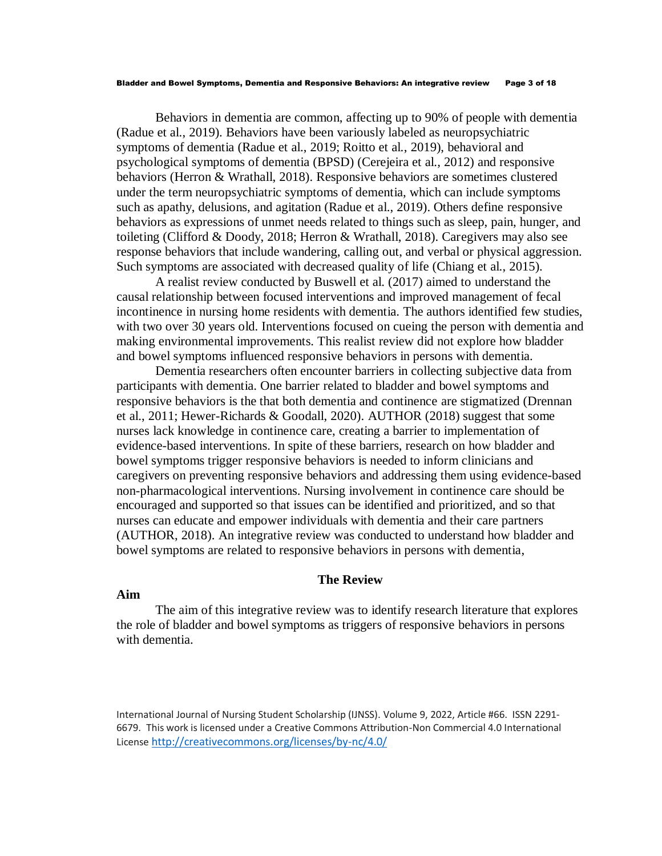Behaviors in dementia are common, affecting up to 90% of people with dementia (Radue et al., 2019). Behaviors have been variously labeled as neuropsychiatric symptoms of dementia (Radue et al., 2019; Roitto et al., 2019), behavioral and psychological symptoms of dementia (BPSD) (Cerejeira et al., 2012) and responsive behaviors (Herron & Wrathall, 2018). Responsive behaviors are sometimes clustered under the term neuropsychiatric symptoms of dementia, which can include symptoms such as apathy, delusions, and agitation (Radue et al., 2019). Others define responsive behaviors as expressions of unmet needs related to things such as sleep, pain, hunger, and toileting (Clifford & Doody, 2018; Herron & Wrathall, 2018). Caregivers may also see response behaviors that include wandering, calling out, and verbal or physical aggression. Such symptoms are associated with decreased quality of life (Chiang et al., 2015).

A realist review conducted by Buswell et al. (2017) aimed to understand the causal relationship between focused interventions and improved management of fecal incontinence in nursing home residents with dementia. The authors identified few studies, with two over 30 years old. Interventions focused on cueing the person with dementia and making environmental improvements. This realist review did not explore how bladder and bowel symptoms influenced responsive behaviors in persons with dementia.

Dementia researchers often encounter barriers in collecting subjective data from participants with dementia. One barrier related to bladder and bowel symptoms and responsive behaviors is the that both dementia and continence are stigmatized (Drennan et al., 2011; Hewer-Richards & Goodall, 2020). AUTHOR (2018) suggest that some nurses lack knowledge in continence care, creating a barrier to implementation of evidence-based interventions. In spite of these barriers, research on how bladder and bowel symptoms trigger responsive behaviors is needed to inform clinicians and caregivers on preventing responsive behaviors and addressing them using evidence-based non-pharmacological interventions. Nursing involvement in continence care should be encouraged and supported so that issues can be identified and prioritized, and so that nurses can educate and empower individuals with dementia and their care partners (AUTHOR, 2018). An integrative review was conducted to understand how bladder and bowel symptoms are related to responsive behaviors in persons with dementia,

### **The Review**

#### **Aim**

The aim of this integrative review was to identify research literature that explores the role of bladder and bowel symptoms as triggers of responsive behaviors in persons with dementia.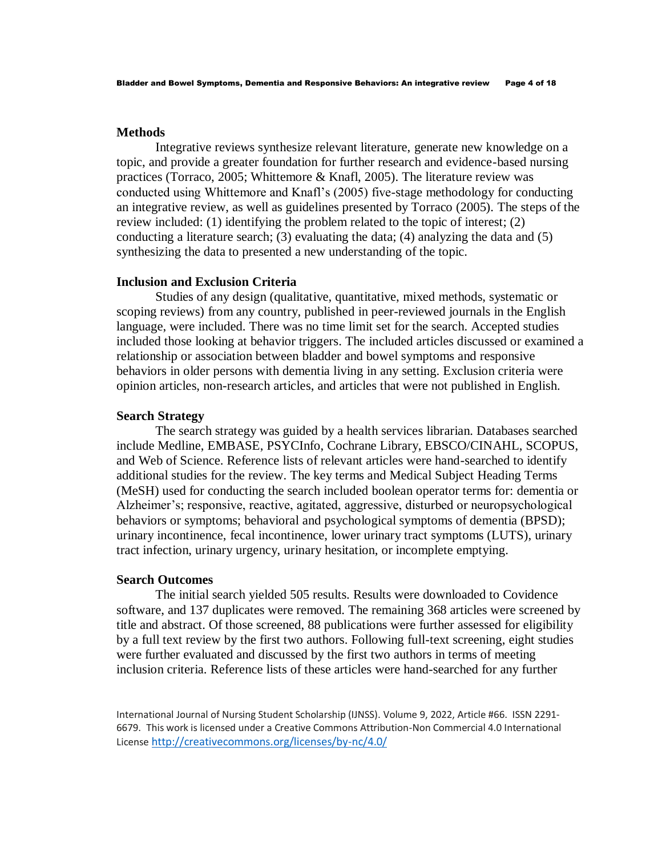## **Methods**

Integrative reviews synthesize relevant literature, generate new knowledge on a topic, and provide a greater foundation for further research and evidence-based nursing practices (Torraco, 2005; Whittemore & Knafl, 2005). The literature review was conducted using Whittemore and Knafl's (2005) five-stage methodology for conducting an integrative review, as well as guidelines presented by Torraco (2005). The steps of the review included: (1) identifying the problem related to the topic of interest; (2) conducting a literature search; (3) evaluating the data; (4) analyzing the data and (5) synthesizing the data to presented a new understanding of the topic.

## **Inclusion and Exclusion Criteria**

Studies of any design (qualitative, quantitative, mixed methods, systematic or scoping reviews) from any country, published in peer-reviewed journals in the English language, were included. There was no time limit set for the search. Accepted studies included those looking at behavior triggers. The included articles discussed or examined a relationship or association between bladder and bowel symptoms and responsive behaviors in older persons with dementia living in any setting. Exclusion criteria were opinion articles, non-research articles, and articles that were not published in English.

## **Search Strategy**

The search strategy was guided by a health services librarian. Databases searched include Medline, EMBASE, PSYCInfo, Cochrane Library, EBSCO/CINAHL, SCOPUS, and Web of Science. Reference lists of relevant articles were hand-searched to identify additional studies for the review. The key terms and Medical Subject Heading Terms (MeSH) used for conducting the search included boolean operator terms for: dementia or Alzheimer's; responsive, reactive, agitated, aggressive, disturbed or neuropsychological behaviors or symptoms; behavioral and psychological symptoms of dementia (BPSD); urinary incontinence, fecal incontinence, lower urinary tract symptoms (LUTS), urinary tract infection, urinary urgency, urinary hesitation, or incomplete emptying.

## **Search Outcomes**

The initial search yielded 505 results. Results were downloaded to Covidence software, and 137 duplicates were removed. The remaining 368 articles were screened by title and abstract. Of those screened, 88 publications were further assessed for eligibility by a full text review by the first two authors. Following full-text screening, eight studies were further evaluated and discussed by the first two authors in terms of meeting inclusion criteria. Reference lists of these articles were hand-searched for any further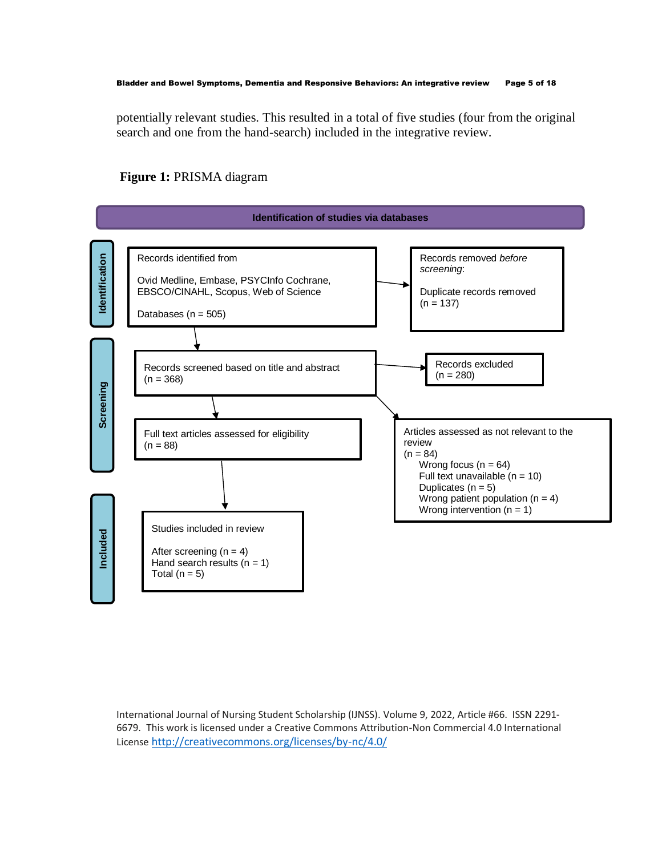potentially relevant studies. This resulted in a total of five studies (four from the original search and one from the hand-search) included in the integrative review.

## **Figure 1:** PRISMA diagram

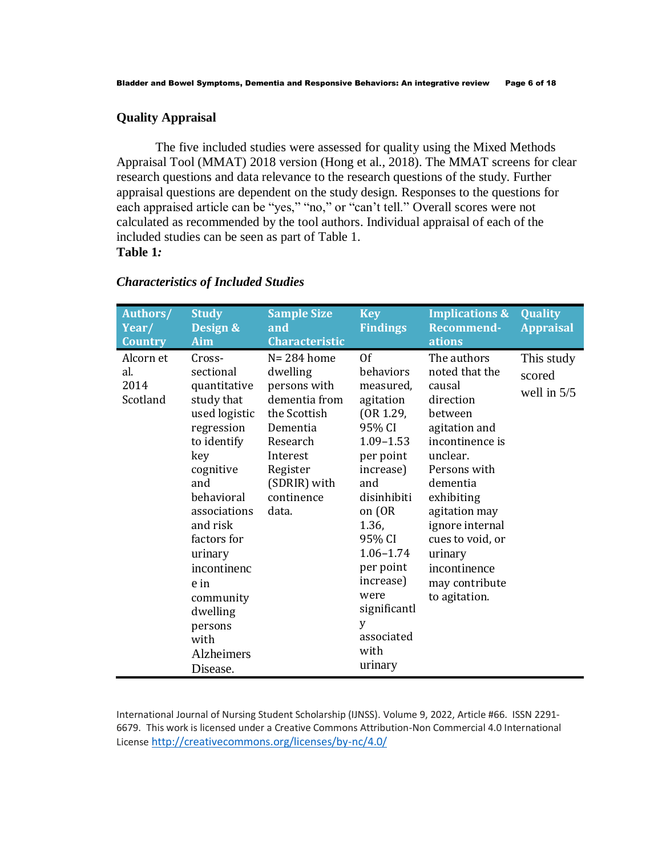## **Quality Appraisal**

The five included studies were assessed for quality using the Mixed Methods Appraisal Tool (MMAT) 2018 version (Hong et al., 2018). The MMAT screens for clear research questions and data relevance to the research questions of the study. Further appraisal questions are dependent on the study design. Responses to the questions for each appraised article can be "yes," "no," or "can't tell." Overall scores were not calculated as recommended by the tool authors. Individual appraisal of each of the included studies can be seen as part of Table 1. **Table 1***:*

| Authors/<br>Year/<br><b>Country</b>  | <b>Study</b><br>Design &<br>Aim                                                                                                                                                                                                                                                             | <b>Sample Size</b><br>and<br><b>Characteristic</b>                                                                                                                 | <b>Key</b><br><b>Findings</b>                                                                                                                                                                                                                                                  | <b>Implications &amp;</b><br><b>Recommend-</b><br>ations                                                                                                                                                                                                                        | <b>Quality</b><br><b>Appraisal</b>    |
|--------------------------------------|---------------------------------------------------------------------------------------------------------------------------------------------------------------------------------------------------------------------------------------------------------------------------------------------|--------------------------------------------------------------------------------------------------------------------------------------------------------------------|--------------------------------------------------------------------------------------------------------------------------------------------------------------------------------------------------------------------------------------------------------------------------------|---------------------------------------------------------------------------------------------------------------------------------------------------------------------------------------------------------------------------------------------------------------------------------|---------------------------------------|
| Alcorn et<br>al.<br>2014<br>Scotland | Cross-<br>sectional<br>quantitative<br>study that<br>used logistic<br>regression<br>to identify<br>key<br>cognitive<br>and<br>behavioral<br>associations<br>and risk<br>factors for<br>urinary<br>incontinenc<br>e in<br>community<br>dwelling<br>persons<br>with<br>Alzheimers<br>Disease. | $N = 284$ home<br>dwelling<br>persons with<br>dementia from<br>the Scottish<br>Dementia<br>Research<br>Interest<br>Register<br>(SDRIR) with<br>continence<br>data. | <b>Of</b><br>behaviors<br>measured,<br>agitation<br>(OR 1.29,<br>95% CI<br>$1.09 - 1.53$<br>per point<br>increase)<br>and<br>disinhibiti<br>on (OR<br>1.36,<br>95% CI<br>$1.06 - 1.74$<br>per point<br>increase)<br>were<br>significantl<br>V<br>associated<br>with<br>urinary | The authors<br>noted that the<br>causal<br>direction<br>between<br>agitation and<br>incontinence is<br>unclear.<br>Persons with<br>dementia<br>exhibiting<br>agitation may<br>ignore internal<br>cues to void, or<br>urinary<br>incontinence<br>may contribute<br>to agitation. | This study<br>scored<br>well in $5/5$ |

## *Characteristics of Included Studies*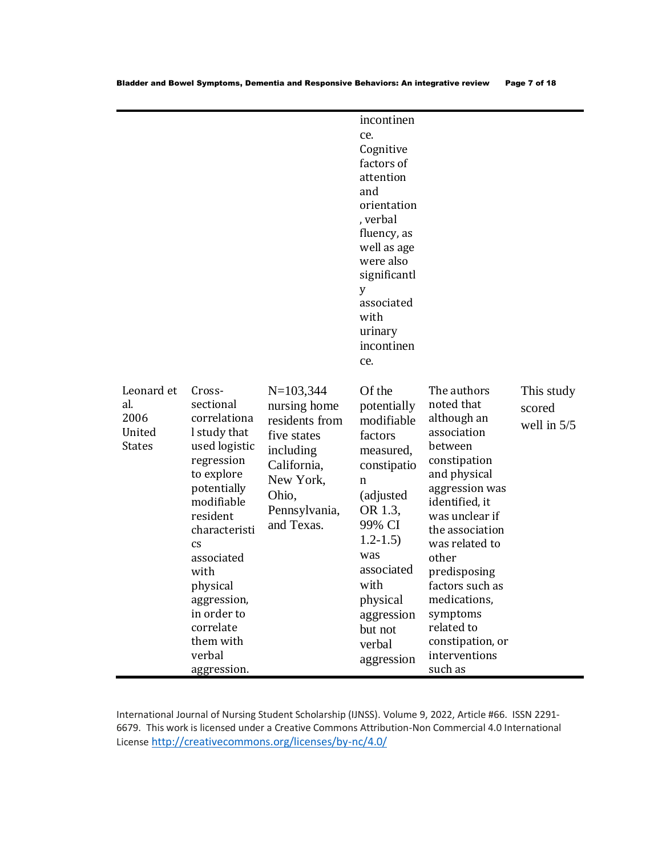|  |  | Bladder and Bowel Symptoms, Dementia and Responsive Behaviors: An integrative review | Page 7 of 18 |
|--|--|--------------------------------------------------------------------------------------|--------------|
|  |  |                                                                                      |              |

|                                                      |                                                                                                                                                                                                                                                                                                         |                                                                                                                                               | incontinen<br>ce.<br>Cognitive<br>factors of<br>attention<br>and<br>orientation<br>, verbal<br>fluency, as<br>well as age<br>were also<br>significantl<br>y<br>associated<br>with<br>urinary<br>incontinen<br>ce.           |                                                                                                                                                                                                                                                                                                                                     |                                       |
|------------------------------------------------------|---------------------------------------------------------------------------------------------------------------------------------------------------------------------------------------------------------------------------------------------------------------------------------------------------------|-----------------------------------------------------------------------------------------------------------------------------------------------|-----------------------------------------------------------------------------------------------------------------------------------------------------------------------------------------------------------------------------|-------------------------------------------------------------------------------------------------------------------------------------------------------------------------------------------------------------------------------------------------------------------------------------------------------------------------------------|---------------------------------------|
| Leonard et<br>al.<br>2006<br>United<br><b>States</b> | Cross-<br>sectional<br>correlationa<br>I study that<br>used logistic<br>regression<br>to explore<br>potentially<br>modifiable<br>resident<br>characteristi<br>$\mathbf{c}\mathbf{s}$<br>associated<br>with<br>physical<br>aggression,<br>in order to<br>correlate<br>them with<br>verbal<br>aggression. | $N=103,344$<br>nursing home<br>residents from<br>five states<br>including<br>California,<br>New York,<br>Ohio,<br>Pennsylvania,<br>and Texas. | Of the<br>potentially<br>modifiable<br>factors<br>measured,<br>constipatio<br>n<br>(adjusted)<br>OR 1.3,<br>99% CI<br>$1.2 - 1.5$<br>was<br>associated<br>with<br>physical<br>aggression<br>but not<br>verbal<br>aggression | The authors<br>noted that<br>although an<br>association<br>between<br>constipation<br>and physical<br>aggression was<br>identified, it<br>was unclear if<br>the association<br>was related to<br>other<br>predisposing<br>factors such as<br>medications,<br>symptoms<br>related to<br>constipation, or<br>interventions<br>such as | This study<br>scored<br>well in $5/5$ |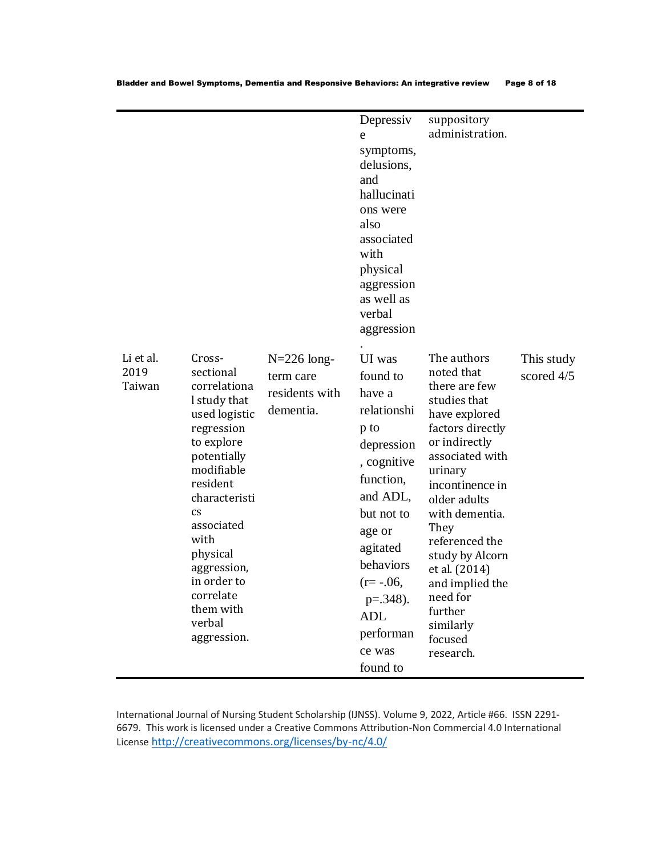|                             |                                                                                                                                                                                                           |                                                           | Depressiv<br>e<br>symptoms,<br>delusions,<br>and<br>hallucinati<br>ons were<br>also<br>associated<br>with<br>physical<br>aggression<br>as well as<br>verbal<br>aggression | suppository<br>administration.                                                                                                                                                                                                                   |                          |
|-----------------------------|-----------------------------------------------------------------------------------------------------------------------------------------------------------------------------------------------------------|-----------------------------------------------------------|---------------------------------------------------------------------------------------------------------------------------------------------------------------------------|--------------------------------------------------------------------------------------------------------------------------------------------------------------------------------------------------------------------------------------------------|--------------------------|
| Li et al.<br>2019<br>Taiwan | Cross-<br>sectional<br>correlationa<br>I study that<br>used logistic<br>regression<br>to explore<br>potentially<br>modifiable<br>resident<br>characteristi<br><b>CS</b><br>associated<br>with<br>physical | $N=226$ long-<br>term care<br>residents with<br>dementia. | UI was<br>found to<br>have a<br>relationshi<br>p to<br>depression<br>, cognitive<br>function,<br>and ADL,<br>but not to<br>age or<br>agitated                             | The authors<br>noted that<br>there are few<br>studies that<br>have explored<br>factors directly<br>or indirectly<br>associated with<br>urinary<br>incontinence in<br>older adults<br>with dementia.<br>They<br>referenced the<br>study by Alcorn | This study<br>scored 4/5 |

Bladder and Bowel Symptoms, Dementia and Responsive Behaviors: An integrative review Page 8 of 18

International Journal of Nursing Student Scholarship (IJNSS). Volume 9, 2022, Article #66. ISSN 2291- 6679. This work is licensed under a Creative Commons Attribution-Non Commercial 4.0 International License [http://creativecommons.org/licenses/by-nc/4.0/](https://urldefense.proofpoint.com/v2/url?u=http-3A__creativecommons.org_licenses_by-2Dnc_4.0_&d=DwMFAg&c=C3yme8gMkxg_ihJNXS06ZyWk4EJm8LdrrvxQb-Je7sw&r=8b6GROYZXbFqdnpbAq4emg&m=oGpEEVr1F9YarocTQoJseiZkIfC-A0sLDiSZX_VZBfc&s=grAi3qopNfvXMgosttjjJJ_3FK0L7FQD61t5XWmX4V4&e=)

behaviors  $(r = -.06, ...)$ p=.348). ADL

et al. (2014) and implied the

need for further similarly focused research.

performan ce was found to

aggression, in order to correlate them with verbal aggression.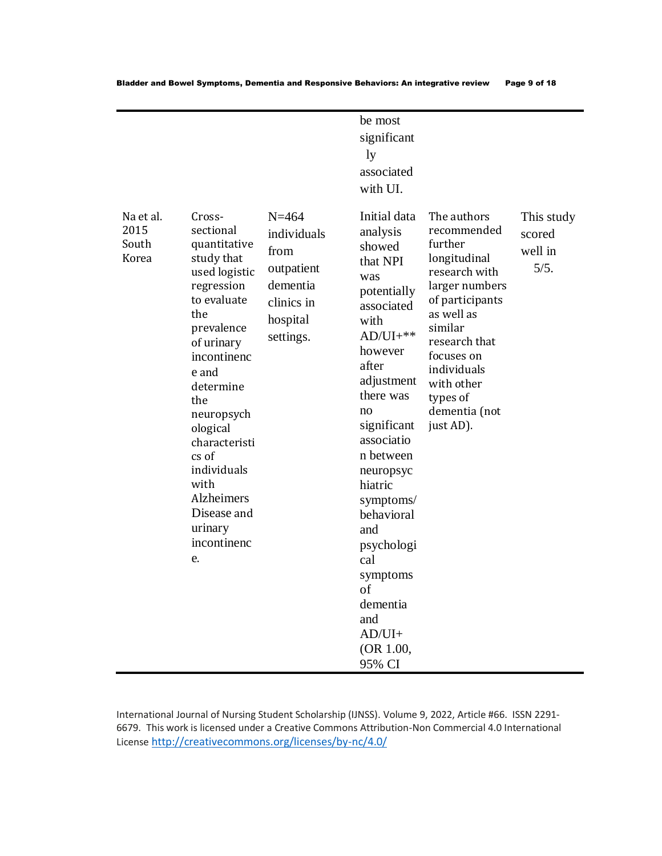|                                     |                                                                                                                                                                                                                                                                                                                        |                                                                                                   | be most<br>significant<br>ly<br>associated<br>with UI.                                                                                                                                                                                                                                                                                                         |                                                                                                                                                                                                                                            |                                         |
|-------------------------------------|------------------------------------------------------------------------------------------------------------------------------------------------------------------------------------------------------------------------------------------------------------------------------------------------------------------------|---------------------------------------------------------------------------------------------------|----------------------------------------------------------------------------------------------------------------------------------------------------------------------------------------------------------------------------------------------------------------------------------------------------------------------------------------------------------------|--------------------------------------------------------------------------------------------------------------------------------------------------------------------------------------------------------------------------------------------|-----------------------------------------|
| Na et al.<br>2015<br>South<br>Korea | Cross-<br>sectional<br>quantitative<br>study that<br>used logistic<br>regression<br>to evaluate<br>the<br>prevalence<br>of urinary<br>incontinenc<br>e and<br>determine<br>the<br>neuropsych<br>ological<br>characteristi<br>cs of<br>individuals<br>with<br>Alzheimers<br>Disease and<br>urinary<br>incontinenc<br>e. | $N = 464$<br>individuals<br>from<br>outpatient<br>dementia<br>clinics in<br>hospital<br>settings. | Initial data<br>analysis<br>showed<br>that NPI<br>was<br>potentially<br>associated<br>with<br>$AD/UI+**$<br>however<br>after<br>adjustment<br>there was<br>no<br>significant<br>associatio<br>n between<br>neuropsyc<br>hiatric<br>symptoms/<br>behavioral<br>and<br>psychologi<br>cal<br>symptoms<br>of<br>dementia<br>and<br>$AD/UI+$<br>(OR 1.00,<br>95% CI | The authors<br>recommended<br>further<br>longitudinal<br>research with<br>larger numbers<br>of participants<br>as well as<br>similar<br>research that<br>focuses on<br>individuals<br>with other<br>types of<br>dementia (not<br>just AD). | This study<br>scored<br>well in<br>5/5. |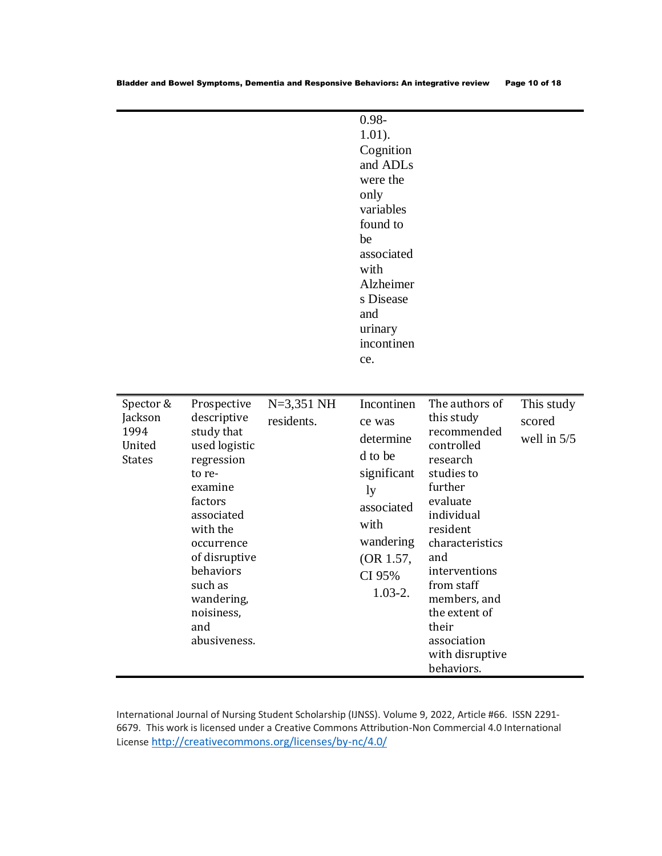| Bladder and Bowel Symptoms, Dementia and Responsive Behaviors: An integrative review | Page 10 of 18 |
|--------------------------------------------------------------------------------------|---------------|
|                                                                                      |               |

|                                                         |                                                                                                                                                                                                                                             |                            | $0.98 -$<br>$1.01$ ).<br>Cognition<br>and ADLs<br>were the<br>only<br>variables<br>found to<br>be<br>associated<br>with<br>Alzheimer<br>s Disease<br>and<br>urinary<br>incontinen<br>ce. |                                                                                                                                                                                                                                                                                         |                                       |
|---------------------------------------------------------|---------------------------------------------------------------------------------------------------------------------------------------------------------------------------------------------------------------------------------------------|----------------------------|------------------------------------------------------------------------------------------------------------------------------------------------------------------------------------------|-----------------------------------------------------------------------------------------------------------------------------------------------------------------------------------------------------------------------------------------------------------------------------------------|---------------------------------------|
| Spector &<br>Jackson<br>1994<br>United<br><b>States</b> | Prospective<br>descriptive<br>study that<br>used logistic<br>regression<br>to re-<br>examine<br>factors<br>associated<br>with the<br>occurrence<br>of disruptive<br>behaviors<br>such as<br>wandering,<br>noisiness,<br>and<br>abusiveness. | $N=3,351$ NH<br>residents. | Incontinen<br>ce was<br>determine<br>d to be<br>significant<br>ly<br>associated<br>with<br>wandering<br>(OR 1.57,<br>CI 95%<br>$1.03 - 2.$                                               | The authors of<br>this study<br>recommended<br>controlled<br>research<br>studies to<br>further<br>evaluate<br>individual<br>resident<br>characteristics<br>and<br>interventions<br>from staff<br>members, and<br>the extent of<br>their<br>association<br>with disruptive<br>behaviors. | This study<br>scored<br>well in $5/5$ |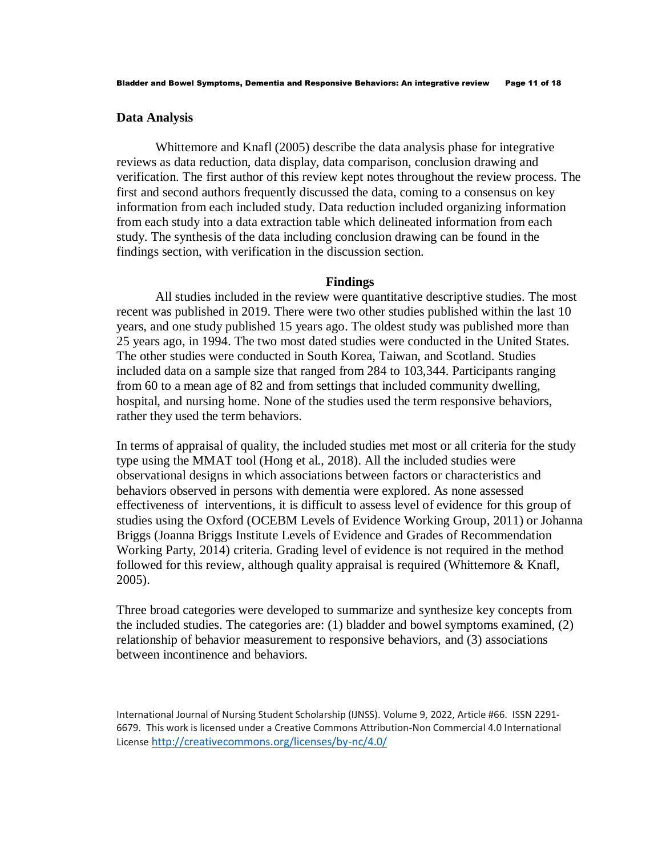#### **Data Analysis**

Whittemore and Knafl (2005) describe the data analysis phase for integrative reviews as data reduction, data display, data comparison, conclusion drawing and verification. The first author of this review kept notes throughout the review process. The first and second authors frequently discussed the data, coming to a consensus on key information from each included study. Data reduction included organizing information from each study into a data extraction table which delineated information from each study. The synthesis of the data including conclusion drawing can be found in the findings section, with verification in the discussion section.

### **Findings**

All studies included in the review were quantitative descriptive studies. The most recent was published in 2019. There were two other studies published within the last 10 years, and one study published 15 years ago. The oldest study was published more than 25 years ago, in 1994. The two most dated studies were conducted in the United States. The other studies were conducted in South Korea, Taiwan, and Scotland. Studies included data on a sample size that ranged from 284 to 103,344. Participants ranging from 60 to a mean age of 82 and from settings that included community dwelling, hospital, and nursing home. None of the studies used the term responsive behaviors, rather they used the term behaviors.

In terms of appraisal of quality, the included studies met most or all criteria for the study type using the MMAT tool (Hong et al., 2018). All the included studies were observational designs in which associations between factors or characteristics and behaviors observed in persons with dementia were explored. As none assessed effectiveness of interventions, it is difficult to assess level of evidence for this group of studies using the Oxford (OCEBM Levels of Evidence Working Group, 2011) or Johanna Briggs (Joanna Briggs Institute Levels of Evidence and Grades of Recommendation Working Party, 2014) criteria. Grading level of evidence is not required in the method followed for this review, although quality appraisal is required (Whittemore & Knafl, 2005).

Three broad categories were developed to summarize and synthesize key concepts from the included studies. The categories are: (1) bladder and bowel symptoms examined, (2) relationship of behavior measurement to responsive behaviors, and (3) associations between incontinence and behaviors.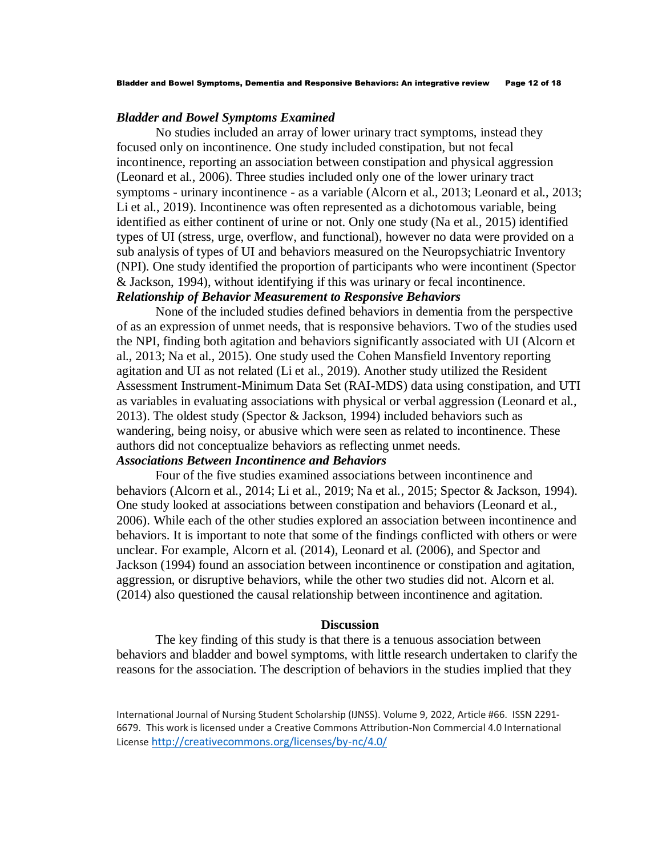#### *Bladder and Bowel Symptoms Examined*

No studies included an array of lower urinary tract symptoms, instead they focused only on incontinence. One study included constipation, but not fecal incontinence, reporting an association between constipation and physical aggression (Leonard et al., 2006). Three studies included only one of the lower urinary tract symptoms - urinary incontinence - as a variable (Alcorn et al., 2013; Leonard et al., 2013; Li et al., 2019). Incontinence was often represented as a dichotomous variable, being identified as either continent of urine or not. Only one study (Na et al., 2015) identified types of UI (stress, urge, overflow, and functional), however no data were provided on a sub analysis of types of UI and behaviors measured on the Neuropsychiatric Inventory (NPI). One study identified the proportion of participants who were incontinent (Spector & Jackson, 1994), without identifying if this was urinary or fecal incontinence. *Relationship of Behavior Measurement to Responsive Behaviors*

None of the included studies defined behaviors in dementia from the perspective of as an expression of unmet needs, that is responsive behaviors. Two of the studies used the NPI, finding both agitation and behaviors significantly associated with UI (Alcorn et al., 2013; Na et al., 2015). One study used the Cohen Mansfield Inventory reporting agitation and UI as not related (Li et al., 2019). Another study utilized the Resident Assessment Instrument-Minimum Data Set (RAI-MDS) data using constipation, and UTI as variables in evaluating associations with physical or verbal aggression (Leonard et al., 2013). The oldest study (Spector & Jackson, 1994) included behaviors such as wandering, being noisy, or abusive which were seen as related to incontinence. These authors did not conceptualize behaviors as reflecting unmet needs.

# *Associations Between Incontinence and Behaviors*

Four of the five studies examined associations between incontinence and behaviors (Alcorn et al., 2014; Li et al., 2019; Na et al., 2015; Spector & Jackson, 1994). One study looked at associations between constipation and behaviors (Leonard et al., 2006). While each of the other studies explored an association between incontinence and behaviors. It is important to note that some of the findings conflicted with others or were unclear. For example, Alcorn et al. (2014), Leonard et al. (2006), and Spector and Jackson (1994) found an association between incontinence or constipation and agitation, aggression, or disruptive behaviors, while the other two studies did not. Alcorn et al. (2014) also questioned the causal relationship between incontinence and agitation.

## **Discussion**

The key finding of this study is that there is a tenuous association between behaviors and bladder and bowel symptoms, with little research undertaken to clarify the reasons for the association. The description of behaviors in the studies implied that they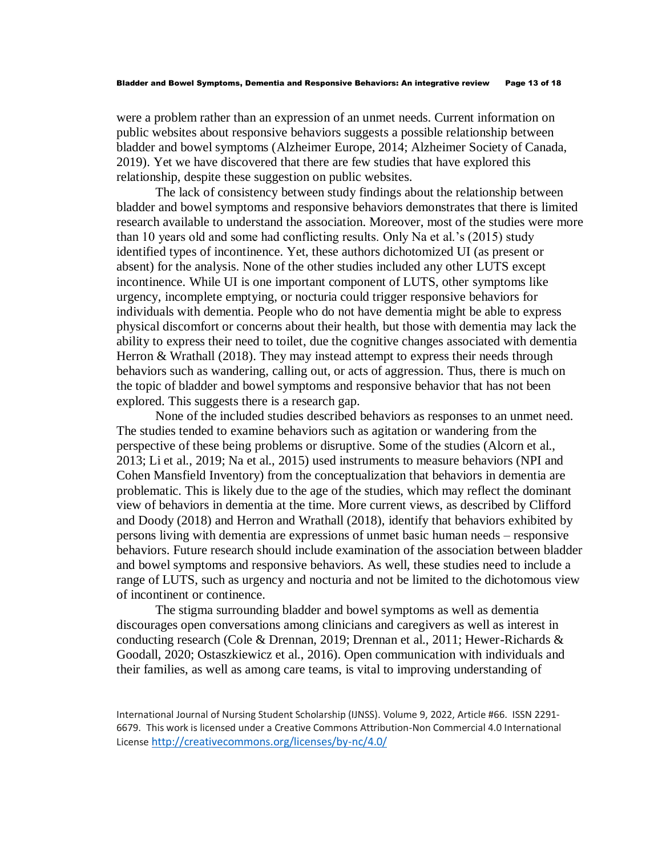were a problem rather than an expression of an unmet needs. Current information on public websites about responsive behaviors suggests a possible relationship between bladder and bowel symptoms (Alzheimer Europe, 2014; Alzheimer Society of Canada, 2019). Yet we have discovered that there are few studies that have explored this relationship, despite these suggestion on public websites.

The lack of consistency between study findings about the relationship between bladder and bowel symptoms and responsive behaviors demonstrates that there is limited research available to understand the association. Moreover, most of the studies were more than 10 years old and some had conflicting results. Only Na et al.'s (2015) study identified types of incontinence. Yet, these authors dichotomized UI (as present or absent) for the analysis. None of the other studies included any other LUTS except incontinence. While UI is one important component of LUTS, other symptoms like urgency, incomplete emptying, or nocturia could trigger responsive behaviors for individuals with dementia. People who do not have dementia might be able to express physical discomfort or concerns about their health, but those with dementia may lack the ability to express their need to toilet, due the cognitive changes associated with dementia Herron & Wrathall (2018). They may instead attempt to express their needs through behaviors such as wandering, calling out, or acts of aggression. Thus, there is much on the topic of bladder and bowel symptoms and responsive behavior that has not been explored. This suggests there is a research gap.

None of the included studies described behaviors as responses to an unmet need. The studies tended to examine behaviors such as agitation or wandering from the perspective of these being problems or disruptive. Some of the studies (Alcorn et al., 2013; Li et al., 2019; Na et al., 2015) used instruments to measure behaviors (NPI and Cohen Mansfield Inventory) from the conceptualization that behaviors in dementia are problematic. This is likely due to the age of the studies, which may reflect the dominant view of behaviors in dementia at the time. More current views, as described by Clifford and Doody (2018) and Herron and Wrathall (2018), identify that behaviors exhibited by persons living with dementia are expressions of unmet basic human needs – responsive behaviors. Future research should include examination of the association between bladder and bowel symptoms and responsive behaviors. As well, these studies need to include a range of LUTS, such as urgency and nocturia and not be limited to the dichotomous view of incontinent or continence.

The stigma surrounding bladder and bowel symptoms as well as dementia discourages open conversations among clinicians and caregivers as well as interest in conducting research (Cole & Drennan, 2019; Drennan et al., 2011; Hewer-Richards & Goodall, 2020; Ostaszkiewicz et al., 2016). Open communication with individuals and their families, as well as among care teams, is vital to improving understanding of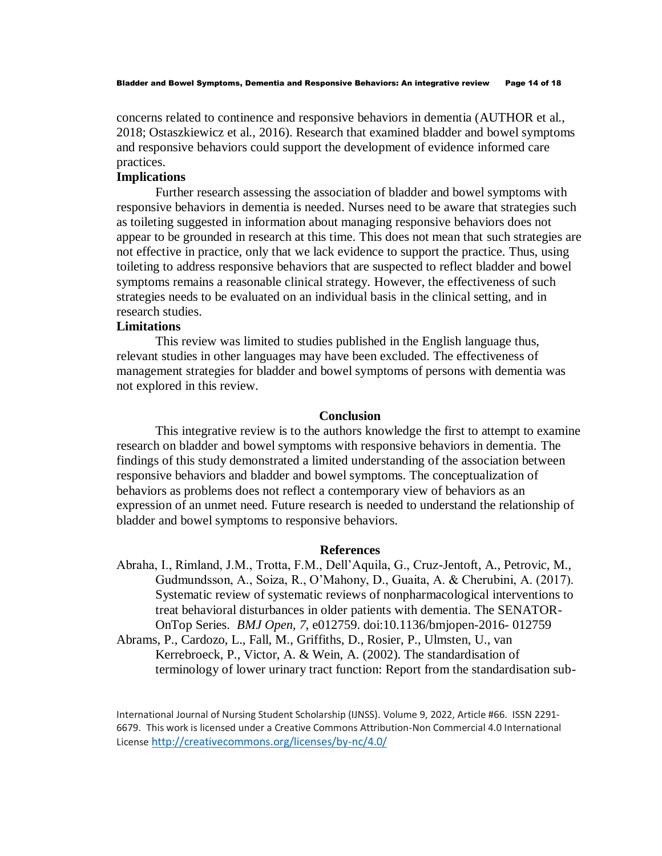concerns related to continence and responsive behaviors in dementia (AUTHOR et al., 2018; Ostaszkiewicz et al., 2016). Research that examined bladder and bowel symptoms and responsive behaviors could support the development of evidence informed care practices.

# **Implications**

Further research assessing the association of bladder and bowel symptoms with responsive behaviors in dementia is needed. Nurses need to be aware that strategies such as toileting suggested in information about managing responsive behaviors does not appear to be grounded in research at this time. This does not mean that such strategies are not effective in practice, only that we lack evidence to support the practice. Thus, using toileting to address responsive behaviors that are suspected to reflect bladder and bowel symptoms remains a reasonable clinical strategy. However, the effectiveness of such strategies needs to be evaluated on an individual basis in the clinical setting, and in research studies.

# **Limitations**

This review was limited to studies published in the English language thus, relevant studies in other languages may have been excluded. The effectiveness of management strategies for bladder and bowel symptoms of persons with dementia was not explored in this review.

### **Conclusion**

This integrative review is to the authors knowledge the first to attempt to examine research on bladder and bowel symptoms with responsive behaviors in dementia. The findings of this study demonstrated a limited understanding of the association between responsive behaviors and bladder and bowel symptoms. The conceptualization of behaviors as problems does not reflect a contemporary view of behaviors as an expression of an unmet need. Future research is needed to understand the relationship of bladder and bowel symptoms to responsive behaviors.

#### **References**

- Abraha, I., Rimland, J.M., Trotta, F.M., Dell'Aquila, G., Cruz-Jentoft, A., Petrovic, M., Gudmundsson, A., Soiza, R., O'Mahony, D., Guaita, A. & Cherubini, A. (2017). Systematic review of systematic reviews of nonpharmacological interventions to treat behavioral disturbances in older patients with dementia. The SENATOR-OnTop Series. *BMJ Open, 7*, e012759. doi:10.1136/bmjopen-2016- 012759 Abrams, P., Cardozo, L., Fall, M., Griffiths, D., Rosier, P., Ulmsten, U., van
- Kerrebroeck, P., Victor, A. & Wein, A. (2002). The standardisation of terminology of lower urinary tract function: Report from the standardisation sub-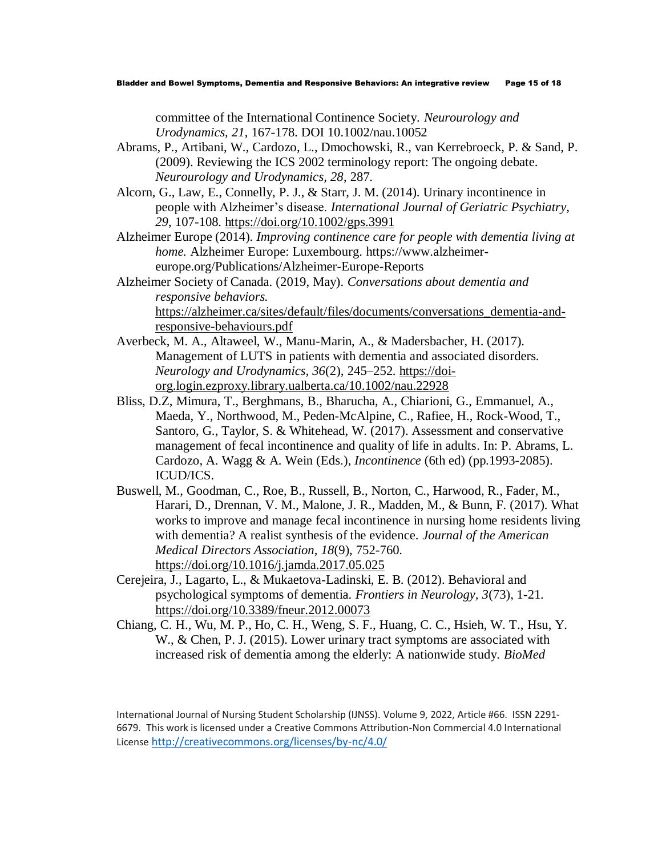committee of the International Continence Society. *Neurourology and Urodynamics, 21*, 167-178. DOI 10.1002/nau.10052

- Abrams, P., Artibani, W., Cardozo, L., Dmochowski, R., van Kerrebroeck, P. & Sand, P. (2009). Reviewing the ICS 2002 terminology report: The ongoing debate. *Neurourology and Urodynamics, 28*, 287.
- Alcorn, G., Law, E., Connelly, P. J., & Starr, J. M. (2014). Urinary incontinence in people with Alzheimer's disease. *International Journal of Geriatric Psychiatry, 29*, 107-108. [https://doi.org/10.1002/gps.3991](about:blank)
- Alzheimer Europe (2014). *Improving continence care for people with dementia living at home.* Alzheimer Europe: Luxembourg. https://www.alzheimereurope.org/Publications/Alzheimer-Europe-Reports
- Alzheimer Society of Canada. (2019, May). *Conversations about dementia and responsive behaviors.* [https://alzheimer.ca/sites/default/files/documents/conversations\\_dementia-and](about:blank)[responsive-behaviours.pdf](about:blank)
- Averbeck, M. A., Altaweel, W., Manu-Marin, A., & Madersbacher, H. (2017). Management of LUTS in patients with dementia and associated disorders. *Neurology and Urodynamics, 36*(2), 245–252[.](about:blank) [https://doi](about:blank)[org.login.ezproxy.library.ualberta.ca/10.1002/nau.22928](about:blank)
- Bliss, D.Z, Mimura, T., Berghmans, B., Bharucha, A., Chiarioni, G., Emmanuel, A., Maeda, Y., Northwood, M., Peden-McAlpine, C., Rafiee, H., Rock-Wood, T., Santoro, G., Taylor, S. & Whitehead, W. (2017). Assessment and conservative management of fecal incontinence and quality of life in adults. In: P. Abrams, L. Cardozo, A. Wagg & A. Wein (Eds.), *Incontinence* (6th ed) (pp.1993-2085). ICUD/ICS.
- Buswell, M., Goodman, C., Roe, B., Russell, B., Norton, C., Harwood, R., Fader, M., Harari, D., Drennan, V. M., Malone, J. R., Madden, M., & Bunn, F. (2017). What works to improve and manage fecal incontinence in nursing home residents living with dementia? A realist synthesis of the evidence. *Journal of the American Medical Directors Association, 18*(9), 752-760. [https://doi.org/10.1016/j.jamda.2017.05.025](about:blank)
- Cerejeira, J., Lagarto, L., & Mukaetova-Ladinski, E. B. (2012). Behavioral and psychological symptoms of dementia. *Frontiers in Neurology, 3*(73), 1-21. [https://doi.org/10.3389/fneur.2012.00073](about:blank)
- Chiang, C. H., Wu, M. P., Ho, C. H., Weng, S. F., Huang, C. C., Hsieh, W. T., Hsu, Y. W., & Chen, P. J. (2015). Lower urinary tract symptoms are associated with increased risk of dementia among the elderly: A nationwide study. *BioMed*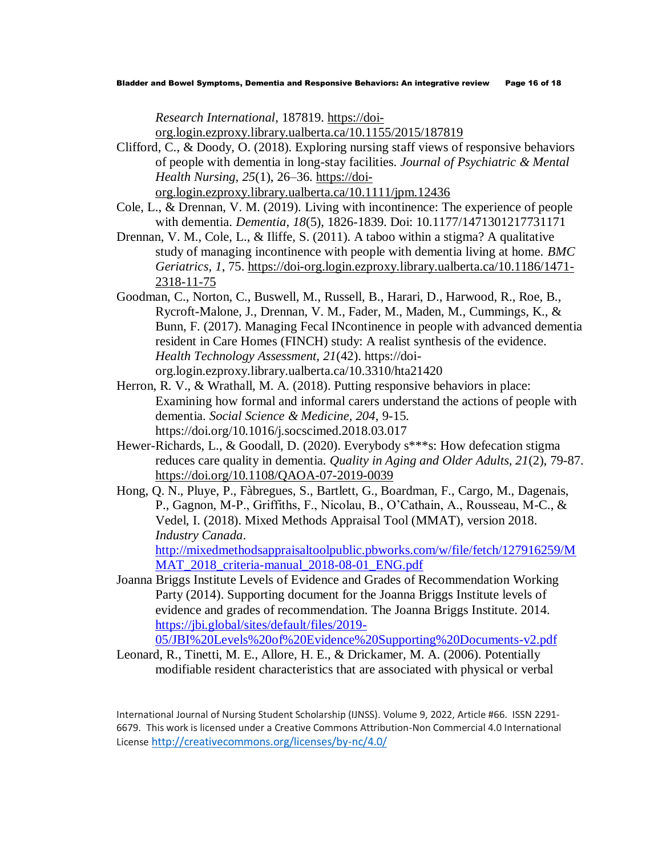*Research International*, 187819. [https://doi-](about:blank)

[org.login.ezproxy.library.ualberta.ca/10.1155/2015/187819](about:blank)

Clifford, C., & Doody, O. (2018). Exploring nursing staff views of responsive behaviors of people with dementia in long-stay facilities. *Journal of Psychiatric & Mental Health Nursing, 25*(1), 26–36. [https://doi-](about:blank)

[org.login.ezproxy.library.ualberta.ca/10.1111/jpm.12436](about:blank)

- Cole, L., & Drennan, V. M. (2019). Living with incontinence: The experience of people with dementia. *Dementia, 18*(5), 1826-1839. Doi: 10.1177/1471301217731171
- Drennan, V. M., Cole, L., & Iliffe, S. (2011). A taboo within a stigma? A qualitative study of managing incontinence with people with dementia living at home. *BMC Geriatrics, 1*, 75[.](about:blank) [https://doi-org.login.ezproxy.library.ualberta.ca/10.1186/1471-](about:blank) [2318-11-75](about:blank)
- Goodman, C., Norton, C., Buswell, M., Russell, B., Harari, D., Harwood, R., Roe, B., Rycroft-Malone, J., Drennan, V. M., Fader, M., Maden, M., Cummings, K., & Bunn, F. (2017). Managing Fecal INcontinence in people with advanced dementia resident in Care Homes (FINCH) study: A realist synthesis of the evidence. *Health Technology Assessment, 21*(42). [https://doi](about:blank)[org.login.ezproxy.library.ualberta.ca/10.3310/hta21420](about:blank)
- Herron, R. V., & Wrathall, M. A. (2018). Putting responsive behaviors in place: Examining how formal and informal carers understand the actions of people with dementia. *Social Science & Medicine, 204*, 9-15. https://doi.org/10.1016/j.socscimed.2018.03.017
- Hewer-Richards, L., & Goodall, D. (2020). Everybody s\*\*\*s: How defecation stigma reduces care quality in dementia. *Quality in Aging and Older Adults, 21*(2), 79-87. [https://doi.org/10.1108/QAOA-07-2019-0039](about:blank)
- Hong, Q. N., Pluye, P., Fàbregues, S., Bartlett, G., Boardman, F., Cargo, M., Dagenais, P., Gagnon, M-P., Griffiths, F., Nicolau, B., O'Cathain, A., Rousseau, M-C., & Vedel, I. (2018). Mixed Methods Appraisal Tool (MMAT), version 2018. *Industry Canada*.

[http://mixedmethodsappraisaltoolpublic.pbworks.com/w/file/fetch/127916259/M](http://mixedmethodsappraisaltoolpublic.pbworks.com/w/file/fetch/127916259/MMAT_2018_criteria-manual_2018-08-01_ENG.pdf) [MAT\\_2018\\_criteria-manual\\_2018-08-01\\_ENG.pdf](http://mixedmethodsappraisaltoolpublic.pbworks.com/w/file/fetch/127916259/MMAT_2018_criteria-manual_2018-08-01_ENG.pdf)

Joanna Briggs Institute Levels of Evidence and Grades of Recommendation Working Party (2014). Supporting document for the Joanna Briggs Institute levels of evidence and grades of recommendation. The Joanna Briggs Institute. 2014. [https://jbi.global/sites/default/files/2019-](https://jbi.global/sites/default/files/2019-05/JBI%20Levels%20of%20Evidence%20Supporting%20Documents-v2.pdf)

[05/JBI%20Levels%20of%20Evidence%20Supporting%20Documents-v2.pdf](https://jbi.global/sites/default/files/2019-05/JBI%20Levels%20of%20Evidence%20Supporting%20Documents-v2.pdf)

Leonard, R., Tinetti, M. E., Allore, H. E., & Drickamer, M. A. (2006). Potentially modifiable resident characteristics that are associated with physical or verbal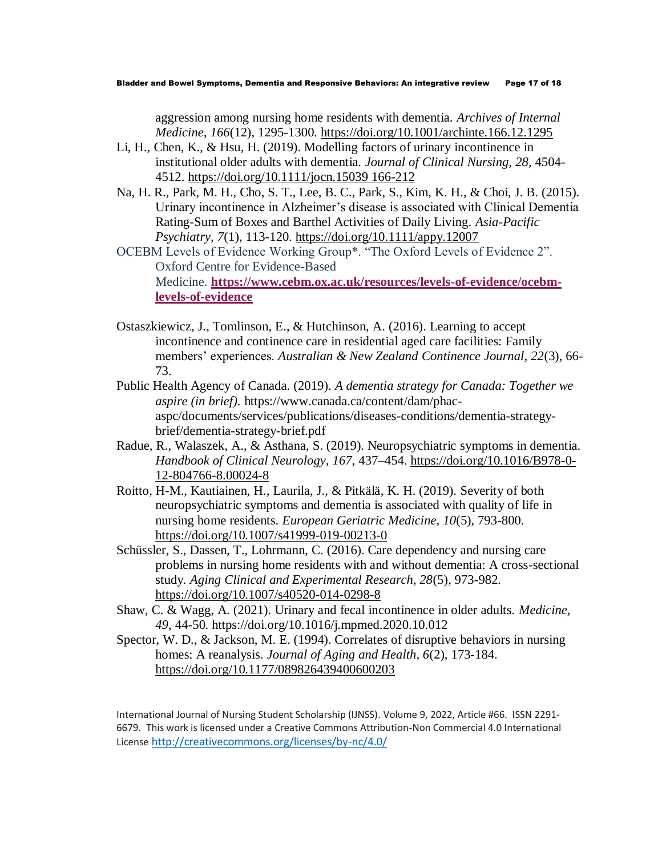aggression among nursing home residents with dementia. *Archives of Internal Medicine, 166*(12), 1295-1300. [https://doi.org/10.1001/archinte.166.12.1295](about:blank)

- Li, H., Chen, K., & Hsu, H. (2019). Modelling factors of urinary incontinence in institutional older adults with dementia. *Journal of Clinical Nursing, 28,* 4504- 4512. [https://doi.org/10.1111/jocn.15039 166-212](about:blank)
- Na, H. R., Park, M. H., Cho, S. T., Lee, B. C., Park, S., Kim, K. H., & Choi, J. B. (2015). Urinary incontinence in Alzheimer's disease is associated with Clinical Dementia Rating-Sum of Boxes and Barthel Activities of Daily Living. *Asia-Pacific Psychiatry, 7*(1), 113-120. [https://doi.org/10.1111/appy.12007](about:blank)
- OCEBM Levels of Evidence Working Group\*. "The Oxford Levels of Evidence 2". Oxford Centre for Evidence-Based Medicine. **[https://www.cebm.ox.ac.uk/resources/levels-of-evidence/ocebm](https://www.cebm.ox.ac.uk/resources/levels-of-evidence/ocebm-levels-of-evidence)[levels-of-evidence](https://www.cebm.ox.ac.uk/resources/levels-of-evidence/ocebm-levels-of-evidence)**
- Ostaszkiewicz, J., Tomlinson, E., & Hutchinson, A. (2016). Learning to accept incontinence and continence care in residential aged care facilities: Family members' experiences. *Australian & New Zealand Continence Journal, 22*(3), 66- 73.
- Public Health Agency of Canada. (2019). *A dementia strategy for Canada: Together we aspire (in brief).* https://www.canada.ca/content/dam/phacaspc/documents/services/publications/diseases-conditions/dementia-strategybrief/dementia-strategy-brief.pdf
- Radue, R., Walaszek, A., & Asthana, S. (2019). Neuropsychiatric symptoms in dementia. *Handbook of Clinical Neurology, 167*, 437–454[.](about:blank) [https://doi.org/10.1016/B978-0-](about:blank) [12-804766-8.00024-8](about:blank)
- Roitto, H-M., Kautiainen, H., Laurila, J., & Pitkälä, K. H. (2019). Severity of both neuropsychiatric symptoms and dementia is associated with quality of life in nursing home residents. *European Geriatric Medicine, 10*(5), 793-800. [https://doi.org/10.1007/s41999-019-00213-0](about:blank)
- Schüssler, S., Dassen, T., Lohrmann, C. (2016). Care dependency and nursing care problems in nursing home residents with and without dementia: A cross-sectional study. *Aging Clinical and Experimental Research, 28*(5), 973-982. [https://doi.org/10.1007/s40520-014-0298-8](about:blank)
- Shaw, C. & Wagg, A. (2021). Urinary and fecal incontinence in older adults. *Medicine, 49*, 44-50. https://doi.org/10.1016/j.mpmed.2020.10.012
- Spector, W. D., & Jackson, M. E. (1994). Correlates of disruptive behaviors in nursing homes: A reanalysis. *Journal of Aging and Health, 6*(2), 173-184. [https://doi.org/10.1177/089826439400600203](about:blank)